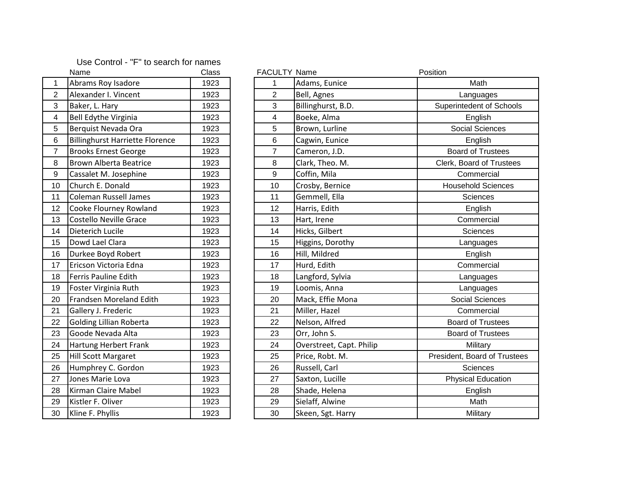| Use Control - "F" to search for names |  |  |  |  |
|---------------------------------------|--|--|--|--|
|---------------------------------------|--|--|--|--|

|                         | ivame                                  | Ulass |
|-------------------------|----------------------------------------|-------|
| 1                       | Abrams Roy Isadore                     | 1923  |
| $\overline{2}$          | Alexander I. Vincent                   | 1923  |
| 3                       | Baker, L. Hary                         | 1923  |
| $\overline{\mathbf{4}}$ | <b>Bell Edythe Virginia</b>            | 1923  |
| 5                       | Berquist Nevada Ora                    | 1923  |
| 6                       | <b>Billinghurst Harriette Florence</b> | 1923  |
| $\overline{7}$          | <b>Brooks Ernest George</b>            | 1923  |
| 8                       | <b>Brown Alberta Beatrice</b>          | 1923  |
| 9                       | Cassalet M. Josephine                  | 1923  |
| 10                      | Church E. Donald                       | 1923  |
| 11                      | <b>Coleman Russell James</b>           | 1923  |
| 12                      | Cooke Flourney Rowland                 | 1923  |
| 13                      | <b>Costello Neville Grace</b>          | 1923  |
| 14                      | Dieterich Lucile                       | 1923  |
| 15                      | Dowd Lael Clara                        | 1923  |
| 16                      | Durkee Boyd Robert                     | 1923  |
| 17                      | Ericson Victoria Edna                  | 1923  |
| 18                      | Ferris Pauline Edith                   | 1923  |
| 19                      | Foster Virginia Ruth                   | 1923  |
| 20                      | Frandsen Moreland Edith                | 1923  |
| 21                      | Gallery J. Frederic                    | 1923  |
| 22                      | <b>Golding Lillian Roberta</b>         | 1923  |
| 23                      | Goode Nevada Alta                      | 1923  |
| 24                      | Hartung Herbert Frank                  | 1923  |
| 25                      | <b>Hill Scott Margaret</b>             | 1923  |
| 26                      | Humphrey C. Gordon                     | 1923  |
| 27                      | Jones Marie Lova                       | 1923  |
| 28                      | Kirman Claire Mabel                    | 1923  |
| 29                      | Kistler F. Oliver                      | 1923  |
| 30                      | Kline F. Phyllis                       | 1923  |

|                  | Name                                   | Class | <b>FACULTY Name</b> |                          | Position                     |
|------------------|----------------------------------------|-------|---------------------|--------------------------|------------------------------|
| $\overline{1}$   | Abrams Roy Isadore                     | 1923  | 1                   | Adams, Eunice            | Math                         |
| $\overline{2}$   | Alexander I. Vincent                   | 1923  | $\overline{2}$      | Bell, Agnes              | Languages                    |
| 3                | Baker, L. Hary                         | 1923  | 3                   | Billinghurst, B.D.       | Superintedent of Schools     |
| 4                | <b>Bell Edythe Virginia</b>            | 1923  | 4                   | Boeke, Alma              | English                      |
| 5                | Berquist Nevada Ora                    | 1923  | 5                   | Brown, Lurline           | Social Sciences              |
| $6\phantom{1}6$  | <b>Billinghurst Harriette Florence</b> | 1923  | 6                   | Cagwin, Eunice           | English                      |
| $\overline{7}$   | <b>Brooks Ernest George</b>            | 1923  | $\overline{7}$      | Cameron, J.D.            | <b>Board of Trustees</b>     |
| 8                | <b>Brown Alberta Beatrice</b>          | 1923  | 8                   | Clark, Theo. M.          | Clerk, Board of Trustees     |
| $\boldsymbol{9}$ | Cassalet M. Josephine                  | 1923  | 9                   | Coffin, Mila             | Commercial                   |
| 10               | Church E. Donald                       | 1923  | 10                  | Crosby, Bernice          | <b>Household Sciences</b>    |
| 11               | <b>Coleman Russell James</b>           | 1923  | 11                  | Gemmell, Ella            | Sciences                     |
| 12 <sup>2</sup>  | Cooke Flourney Rowland                 | 1923  | 12                  | Harris, Edith            | English                      |
| 13               | Costello Neville Grace                 | 1923  | 13                  | Hart, Irene              | Commercial                   |
| 14               | Dieterich Lucile                       | 1923  | 14                  | Hicks, Gilbert           | Sciences                     |
| 15               | Dowd Lael Clara                        | 1923  | 15                  | Higgins, Dorothy         | Languages                    |
| 16               | Durkee Boyd Robert                     | 1923  | 16                  | Hill, Mildred            | English                      |
| 17               | Ericson Victoria Edna                  | 1923  | 17                  | Hurd, Edith              | Commercial                   |
| 18               | Ferris Pauline Edith                   | 1923  | 18                  | Langford, Sylvia         | Languages                    |
| 19               | Foster Virginia Ruth                   | 1923  | 19                  | Loomis, Anna             | Languages                    |
| 20               | Frandsen Moreland Edith                | 1923  | 20                  | Mack, Effie Mona         | <b>Social Sciences</b>       |
| 21               | Gallery J. Frederic                    | 1923  | 21                  | Miller, Hazel            | Commercial                   |
| 22               | <b>Golding Lillian Roberta</b>         | 1923  | 22                  | Nelson, Alfred           | <b>Board of Trustees</b>     |
| 23               | Goode Nevada Alta                      | 1923  | 23                  | Orr, John S.             | <b>Board of Trustees</b>     |
| 24               | Hartung Herbert Frank                  | 1923  | 24                  | Overstreet, Capt. Philip | Military                     |
| 25               | <b>Hill Scott Margaret</b>             | 1923  | 25                  | Price, Robt. M.          | President, Board of Trustees |
| 26               | Humphrey C. Gordon                     | 1923  | 26                  | Russell, Carl            | <b>Sciences</b>              |
| 27               | Jones Marie Lova                       | 1923  | 27                  | Saxton, Lucille          | <b>Physical Education</b>    |
| 28               | Kirman Claire Mabel                    | 1923  | 28                  | Shade, Helena            | English                      |
| 29               | Kistler F. Oliver                      | 1923  | 29                  | Sielaff, Alwine          | Math                         |
| 30               | Kline F. Phyllis                       | 1923  | 30                  | Skeen, Sgt. Harry        | Military                     |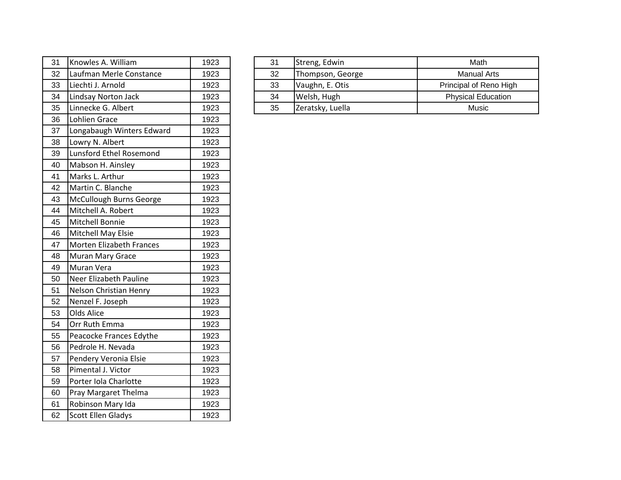| 31 | Knowles A. William        | 1923 |
|----|---------------------------|------|
| 32 | Laufman Merle Constance   | 1923 |
| 33 | Liechti J. Arnold         | 1923 |
| 34 | Lindsay Norton Jack       | 1923 |
| 35 | Linnecke G. Albert        | 1923 |
| 36 | <b>Lohlien Grace</b>      | 1923 |
| 37 | Longabaugh Winters Edward | 1923 |
| 38 | Lowry N. Albert           | 1923 |
| 39 | Lunsford Ethel Rosemond   | 1923 |
| 40 | Mabson H. Ainsley         | 1923 |
| 41 | Marks L. Arthur           | 1923 |
| 42 | Martin C. Blanche         | 1923 |
| 43 | McCullough Burns George   | 1923 |
| 44 | Mitchell A. Robert        | 1923 |
| 45 | Mitchell Bonnie           | 1923 |
| 46 | Mitchell May Elsie        | 1923 |
| 47 | Morten Elizabeth Frances  | 1923 |
| 48 | Muran Mary Grace          | 1923 |
| 49 | Muran Vera                | 1923 |
| 50 | Neer Elizabeth Pauline    | 1923 |
| 51 | Nelson Christian Henry    | 1923 |
| 52 | Nenzel F. Joseph          | 1923 |
| 53 | <b>Olds Alice</b>         | 1923 |
| 54 | Orr Ruth Emma             | 1923 |
| 55 | Peacocke Frances Edythe   | 1923 |
| 56 | Pedrole H. Nevada         | 1923 |
| 57 | Pendery Veronia Elsie     | 1923 |
| 58 | Pimental J. Victor        | 1923 |
| 59 | Porter Iola Charlotte     | 1923 |
| 60 | Pray Margaret Thelma      | 1923 |
| 61 | Robinson Mary Ida         | 1923 |
| 62 | <b>Scott Ellen Gladys</b> | 1923 |

| 31 | Knowles A. William      | 1923 | 31 | Streng, Edwin    | Math                      |
|----|-------------------------|------|----|------------------|---------------------------|
| 32 | Laufman Merle Constance | 1923 | 32 | Thompson, George | <b>Manual Arts</b>        |
| 33 | Liechti J. Arnold       | 1923 | 33 | Vaughn, E. Otis  | Principal of Reno High    |
| 34 | Lindsay Norton Jack     | 1923 | 34 | Welsh, Hugh      | <b>Physical Education</b> |
| 35 | Linnecke G. Albert      | 1923 | 35 | Zeratsky, Luella | Music                     |